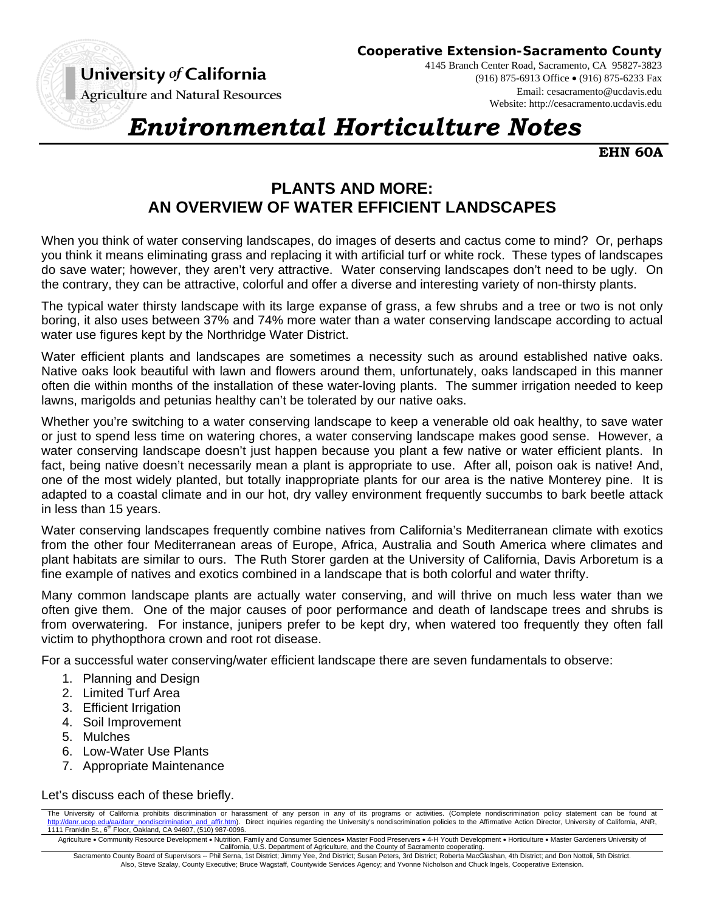University of California

**Cooperative Extension-Sacramento County**

**Agriculture and Natural Resources** 

4145 Branch Center Road, Sacramento, CA 95827-3823 (916) 875-6913 Office (916) 875-6233 Fax Email: cesacramento@ucdavis.edu Website: http://cesacramento.ucdavis.edu

## *Environmental Horticulture Notes*

**EHN 60A** 

## **PLANTS AND MORE: AN OVERVIEW OF WATER EFFICIENT LANDSCAPES**

When you think of water conserving landscapes, do images of deserts and cactus come to mind? Or, perhaps you think it means eliminating grass and replacing it with artificial turf or white rock. These types of landscapes do save water; however, they aren't very attractive. Water conserving landscapes don't need to be ugly. On the contrary, they can be attractive, colorful and offer a diverse and interesting variety of non-thirsty plants.

The typical water thirsty landscape with its large expanse of grass, a few shrubs and a tree or two is not only boring, it also uses between 37% and 74% more water than a water conserving landscape according to actual water use figures kept by the Northridge Water District.

Water efficient plants and landscapes are sometimes a necessity such as around established native oaks. Native oaks look beautiful with lawn and flowers around them, unfortunately, oaks landscaped in this manner often die within months of the installation of these water-loving plants. The summer irrigation needed to keep lawns, marigolds and petunias healthy can't be tolerated by our native oaks.

Whether you're switching to a water conserving landscape to keep a venerable old oak healthy, to save water or just to spend less time on watering chores, a water conserving landscape makes good sense. However, a water conserving landscape doesn't just happen because you plant a few native or water efficient plants. In fact, being native doesn't necessarily mean a plant is appropriate to use. After all, poison oak is native! And, one of the most widely planted, but totally inappropriate plants for our area is the native Monterey pine. It is adapted to a coastal climate and in our hot, dry valley environment frequently succumbs to bark beetle attack in less than 15 years.

Water conserving landscapes frequently combine natives from California's Mediterranean climate with exotics from the other four Mediterranean areas of Europe, Africa, Australia and South America where climates and plant habitats are similar to ours. The Ruth Storer garden at the University of California, Davis Arboretum is a fine example of natives and exotics combined in a landscape that is both colorful and water thrifty.

Many common landscape plants are actually water conserving, and will thrive on much less water than we often give them. One of the major causes of poor performance and death of landscape trees and shrubs is from overwatering. For instance, junipers prefer to be kept dry, when watered too frequently they often fall victim to phythopthora crown and root rot disease.

For a successful water conserving/water efficient landscape there are seven fundamentals to observe:

- 1. Planning and Design
- 2. Limited Turf Area
- 3. Efficient Irrigation
- 4. Soil Improvement
- 5. Mulches
- 6. Low-Water Use Plants
- 7. Appropriate Maintenance

Let's discuss each of these briefly.

The University of California prohibits discrimination or harassment of any person in any of its programs or activities. (Complete nondiscrimination policy statement can be found at danr.ucop.edu/aa/danr\_nondiscrimination\_and\_affir.htm). Direct inquiries regarding the University's nondiscrimination policies to the Affirmative Action Director, University of California, ANR, 1111 Franklin St., 6<sup>th</sup> Floor, Oakland, CA 94607, (510) 987-0096.

Agriculture • Community Resource Development • Nutrition, Family and Consumer Sciences• Master Food Preservers • 4-H Youth Development • Horticulture • Master Gardeners University of<br>California, U.S. Department of Agricul

Sacramento County Board of Supervisors -- Phil Serna, 1st District; Jimmy Yee, 2nd District; Susan Peters, 3rd District; Roberta MacGlashan, 4th District; and Don Nottoli, 5th District. Also, Steve Szalay, County Executive; Bruce Wagstaff, Countywide Services Agency; and Yvonne Nicholson and Chuck Ingels, Cooperative Extension.